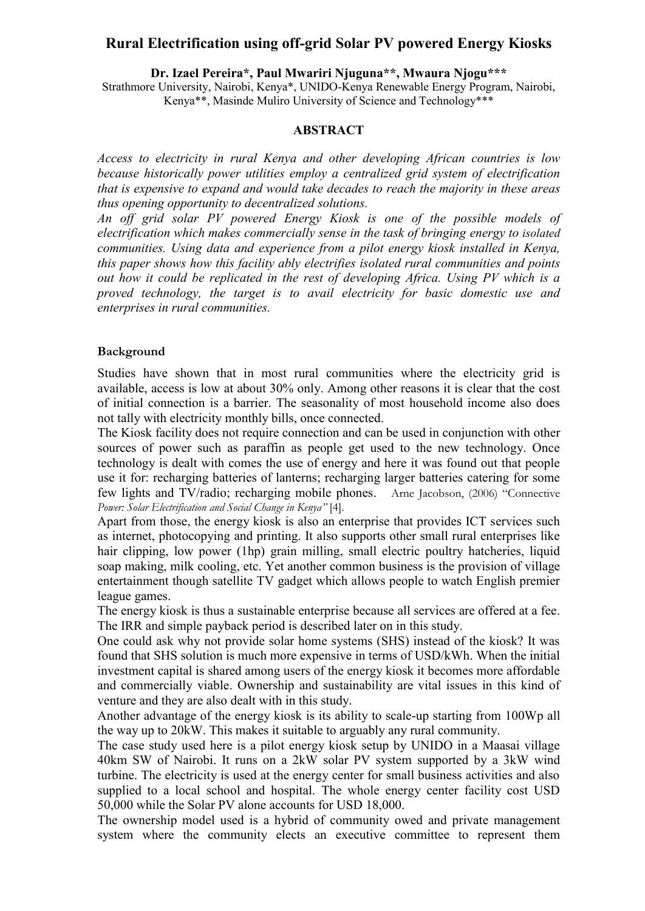# **Rural Electrification using off-grid Solar PV powered Energy Kiosks**

**Dr. Izael Pereira\*, Paul Mwariri Njuguna\*\*, Mwaura Njogu\*\*\***

Strathmore University, Nairobi, Kenya\*, UNIDO-Kenya Renewable Energy Program, Nairobi, Kenya\*\*, Masinde Muliro University of Science and Technology\*\*\*

#### **ABSTRACT**

*Access to electricity in rural Kenya and other developing African countries is low because historically power utilities employ a centralized grid system of electrification that is expensive to expand and would take decades to reach the majority in these areas thus opening opportunity to decentralized solutions.*

*An off grid solar PV powered Energy Kiosk is one of the possible models of electrification which makes commercially sense in the task of bringing energy to isolated communities. Using data and experience from a pilot energy kiosk installed in Kenya, this paper shows how this facility ably electrifies isolated rural communities and points out how it could be replicated in the rest of developing Africa. Using PV which is a proved technology, the target is to avail electricity for basic domestic use and enterprises in rural communities.* 

#### **Background**

Studies have shown that in most rural communities where the electricity grid is available, access is low at about 30% only. Among other reasons it is clear that the cost of initial connection is a barrier. The seasonality of most household income also does not tally with electricity monthly bills, once connected.

The Kiosk facility does not require connection and can be used in conjunction with other sources of power such as paraffin as people get used to the new technology. Once technology is dealt with comes the use of energy and here it was found out that people use it for: recharging batteries of lanterns; recharging larger batteries catering for some few lights and TV/radio; recharging mobile phones. Arne Jacobson, (2006) "Connective *Power: Solar Electrification and Social Change in Kenya"* [4].

Apart from those, the energy kiosk is also an enterprise that provides ICT services such as internet, photocopying and printing. It also supports other small rural enterprises like hair clipping, low power (1hp) grain milling, small electric poultry hatcheries, liquid soap making, milk cooling, etc. Yet another common business is the provision of village entertainment though satellite TV gadget which allows people to watch English premier league games.

The energy kiosk is thus a sustainable enterprise because all services are offered at a fee. The IRR and simple payback period is described later on in this study.

One could ask why not provide solar home systems (SHS) instead of the kiosk? It was found that SHS solution is much more expensive in terms of USD/kWh. When the initial investment capital is shared among users of the energy kiosk it becomes more affordable and commercially viable. Ownership and sustainability are vital issues in this kind of venture and they are also dealt with in this study.

Another advantage of the energy kiosk is its ability to scale-up starting from 100Wp all the way up to 20kW. This makes it suitable to arguably any rural community.

The case study used here is a pilot energy kiosk setup by UNIDO in a Maasai village 40km SW of Nairobi. It runs on a 2kW solar PV system supported by a 3kW wind turbine. The electricity is used at the energy center for small business activities and also supplied to a local school and hospital. The whole energy center facility cost USD 50,000 while the Solar PV alone accounts for USD 18,000.

The ownership model used is a hybrid of community owed and private management system where the community elects an executive committee to represent them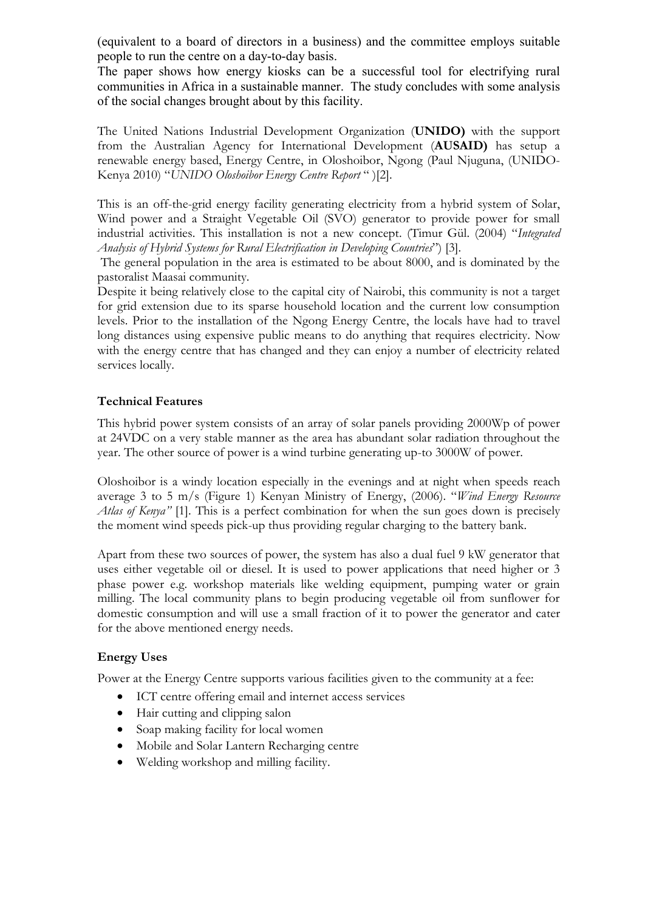(equivalent to a board of directors in a business) and the committee employs suitable people to run the centre on a day-to-day basis.

The paper shows how energy kiosks can be a successful tool for electrifying rural communities in Africa in a sustainable manner. The study concludes with some analysis of the social changes brought about by this facility.

The United Nations Industrial Development Organization (**UNIDO)** with the support from the Australian Agency for International Development (**AUSAID)** has setup a renewable energy based, Energy Centre, in Oloshoibor, Ngong (Paul Njuguna, (UNIDO-Kenya 2010) "*UNIDO Oloshoibor Energy Centre Report* " )[2].

This is an off-the-grid energy facility generating electricity from a hybrid system of Solar, Wind power and a Straight Vegetable Oil (SVO) generator to provide power for small industrial activities. This installation is not a new concept. (Timur Gül. (2004) "*Integrated Analysis of Hybrid Systems for Rural Electrification in Developing Countries*") [3].

The general population in the area is estimated to be about 8000, and is dominated by the pastoralist Maasai community.

Despite it being relatively close to the capital city of Nairobi, this community is not a target for grid extension due to its sparse household location and the current low consumption levels. Prior to the installation of the Ngong Energy Centre, the locals have had to travel long distances using expensive public means to do anything that requires electricity. Now with the energy centre that has changed and they can enjoy a number of electricity related services locally.

# **Technical Features**

This hybrid power system consists of an array of solar panels providing 2000Wp of power at 24VDC on a very stable manner as the area has abundant solar radiation throughout the year. The other source of power is a wind turbine generating up-to 3000W of power.

Oloshoibor is a windy location especially in the evenings and at night when speeds reach average 3 to 5 m/s (Figure 1) Kenyan Ministry of Energy, (2006). "*Wind Energy Resource Atlas of Kenya"* [1]. This is a perfect combination for when the sun goes down is precisely the moment wind speeds pick-up thus providing regular charging to the battery bank.

Apart from these two sources of power, the system has also a dual fuel 9 kW generator that uses either vegetable oil or diesel. It is used to power applications that need higher or 3 phase power e.g. workshop materials like welding equipment, pumping water or grain milling. The local community plans to begin producing vegetable oil from sunflower for domestic consumption and will use a small fraction of it to power the generator and cater for the above mentioned energy needs.

### **Energy Uses**

Power at the Energy Centre supports various facilities given to the community at a fee:

- ICT centre offering email and internet access services
- Hair cutting and clipping salon
- Soap making facility for local women
- Mobile and Solar Lantern Recharging centre
- Welding workshop and milling facility.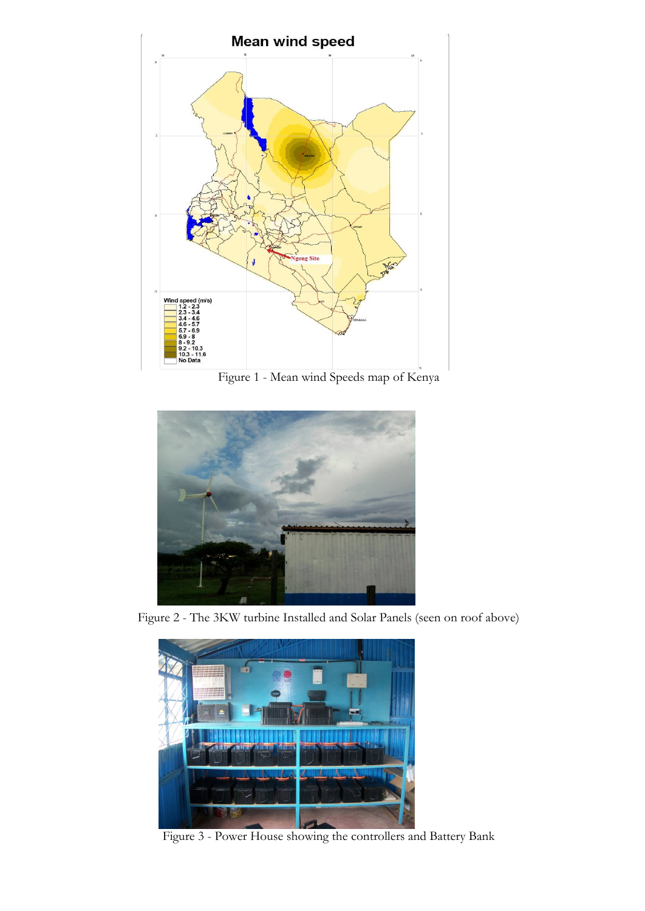

Figure 1 - Mean wind Speeds map of Kenya



Figure 2 - The 3KW turbine Installed and Solar Panels (seen on roof above)



Figure 3 - Power House showing the controllers and Battery Bank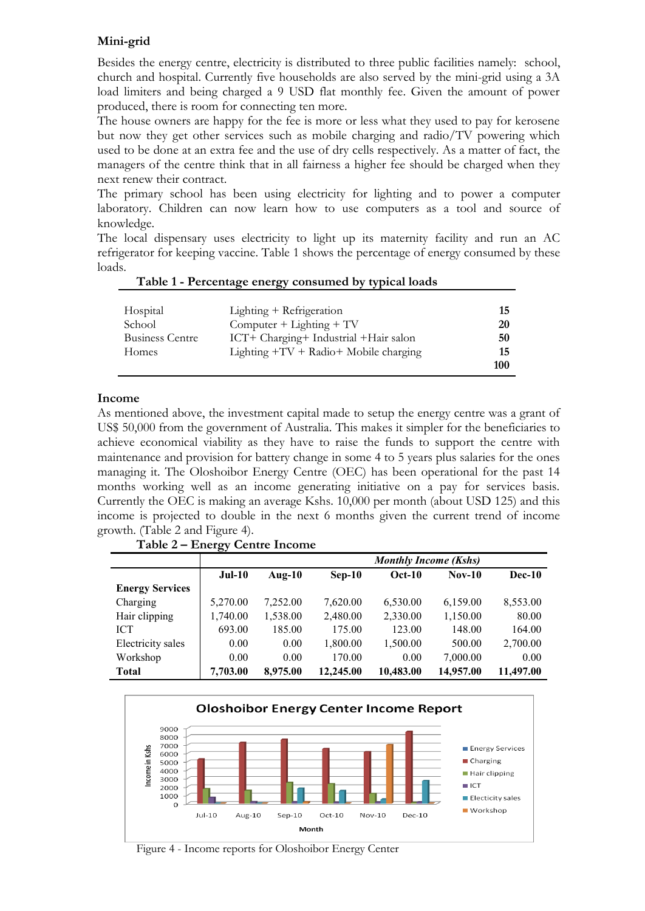# **Mini-grid**

Besides the energy centre, electricity is distributed to three public facilities namely: school, church and hospital. Currently five households are also served by the mini-grid using a 3A load limiters and being charged a 9 USD flat monthly fee. Given the amount of power produced, there is room for connecting ten more.

The house owners are happy for the fee is more or less what they used to pay for kerosene but now they get other services such as mobile charging and radio/TV powering which used to be done at an extra fee and the use of dry cells respectively. As a matter of fact, the managers of the centre think that in all fairness a higher fee should be charged when they next renew their contract.

The primary school has been using electricity for lighting and to power a computer laboratory. Children can now learn how to use computers as a tool and source of knowledge.

The local dispensary uses electricity to light up its maternity facility and run an AC refrigerator for keeping vaccine. Table 1 shows the percentage of energy consumed by these loads.

| Hospital               | Lighting + Refrigeration                 | 15  |
|------------------------|------------------------------------------|-----|
| School                 | Computer $+$ Lighting $+$ TV             | 20  |
| <b>Business Centre</b> | ICT+ Charging+ Industrial + Hair salon   | 50  |
| Homes                  | Lighting $+TV + Radio + Mobile charging$ | 15  |
|                        |                                          | 100 |

#### **Table 1 - Percentage energy consumed by typical loads**

#### **Income**

As mentioned above, the investment capital made to setup the energy centre was a grant of US\$ 50,000 from the government of Australia. This makes it simpler for the beneficiaries to achieve economical viability as they have to raise the funds to support the centre with maintenance and provision for battery change in some 4 to 5 years plus salaries for the ones managing it. The Oloshoibor Energy Centre (OEC) has been operational for the past 14 months working well as an income generating initiative on a pay for services basis. Currently the OEC is making an average Kshs. 10,000 per month (about USD 125) and this income is projected to double in the next 6 months given the current trend of income growth. (Table 2 and Figure 4).

|                        | $\sim$   | <b>Monthly Income (Kshs)</b> |           |           |           |           |  |
|------------------------|----------|------------------------------|-----------|-----------|-----------|-----------|--|
|                        | $Jul-10$ | Aug- $10$                    | $Sep-10$  | $Oct-10$  | $Nov-10$  | $Dec-10$  |  |
| <b>Energy Services</b> |          |                              |           |           |           |           |  |
| Charging               | 5,270.00 | 7,252.00                     | 7,620.00  | 6,530.00  | 6,159.00  | 8,553.00  |  |
| Hair clipping          | 1,740.00 | 1,538.00                     | 2,480.00  | 2,330.00  | 1,150.00  | 80.00     |  |
| <b>ICT</b>             | 693.00   | 185.00                       | 175.00    | 123.00    | 148.00    | 164.00    |  |
| Electricity sales      | 0.00     | 0.00                         | 1,800.00  | 1,500.00  | 500.00    | 2,700.00  |  |
| Workshop               | 0.00     | 0.00                         | 170.00    | 0.00      | 7,000.00  | 0.00      |  |
| <b>Total</b>           | 7,703.00 | 8,975.00                     | 12,245.00 | 10,483.00 | 14,957.00 | 11,497.00 |  |

**Table 2 – Energy Centre Income**



Figure 4 - Income reports for Oloshoibor Energy Center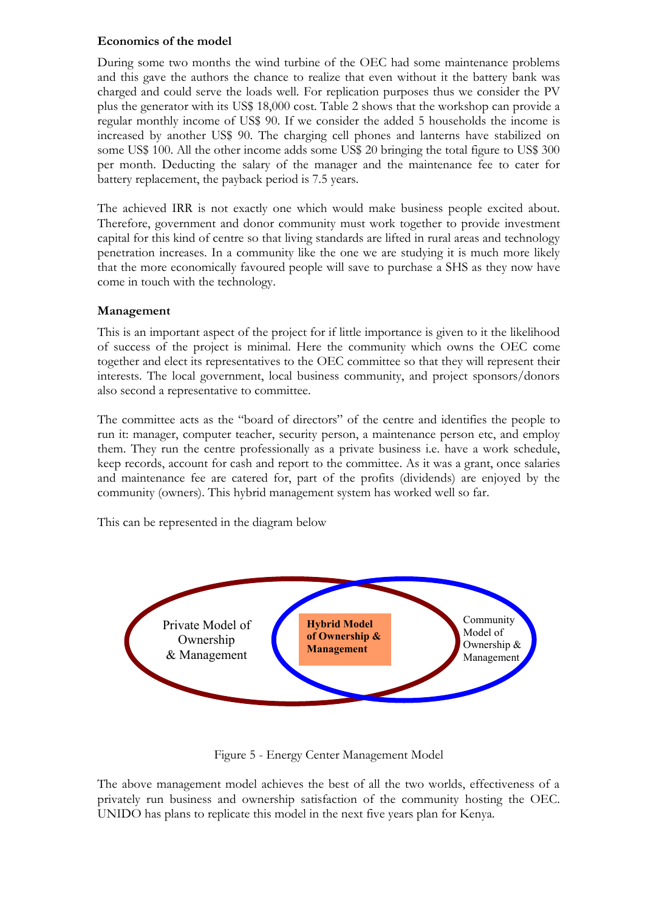# **Economics of the model**

During some two months the wind turbine of the OEC had some maintenance problems and this gave the authors the chance to realize that even without it the battery bank was charged and could serve the loads well. For replication purposes thus we consider the PV plus the generator with its US\$ 18,000 cost. Table 2 shows that the workshop can provide a regular monthly income of US\$ 90. If we consider the added 5 households the income is increased by another US\$ 90. The charging cell phones and lanterns have stabilized on some US\$ 100. All the other income adds some US\$ 20 bringing the total figure to US\$ 300 per month. Deducting the salary of the manager and the maintenance fee to cater for battery replacement, the payback period is 7.5 years.

The achieved IRR is not exactly one which would make business people excited about. Therefore, government and donor community must work together to provide investment capital for this kind of centre so that living standards are lifted in rural areas and technology penetration increases. In a community like the one we are studying it is much more likely that the more economically favoured people will save to purchase a SHS as they now have come in touch with the technology.

# **Management**

This is an important aspect of the project for if little importance is given to it the likelihood of success of the project is minimal. Here the community which owns the OEC come together and elect its representatives to the OEC committee so that they will represent their interests. The local government, local business community, and project sponsors/donors also second a representative to committee.

The committee acts as the "board of directors" of the centre and identifies the people to run it: manager, computer teacher, security person, a maintenance person etc, and employ them. They run the centre professionally as a private business i.e. have a work schedule, keep records, account for cash and report to the committee. As it was a grant, once salaries and maintenance fee are catered for, part of the profits (dividends) are enjoyed by the community (owners). This hybrid management system has worked well so far.

This can be represented in the diagram below



Figure 5 - Energy Center Management Model

The above management model achieves the best of all the two worlds, effectiveness of a privately run business and ownership satisfaction of the community hosting the OEC. UNIDO has plans to replicate this model in the next five years plan for Kenya.